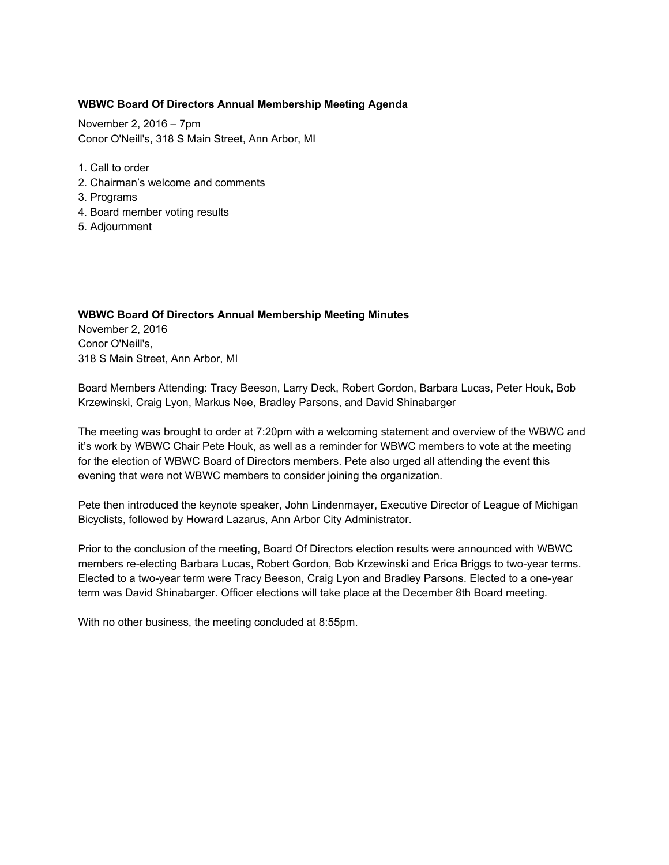## **WBWC Board Of Directors Annual Membership Meeting Agenda**

November 2, 2016 – 7pm Conor O'Neill's, 318 S Main Street, Ann Arbor, MI

- 1. Call to order
- 2. Chairman's welcome and comments
- 3. Programs
- 4. Board member voting results
- 5. Adjournment

## **WBWC Board Of Directors Annual Membership Meeting Minutes** November 2, 2016 Conor O'Neill's, 318 S Main Street, Ann Arbor, MI

Board Members Attending: Tracy Beeson, Larry Deck, Robert Gordon, Barbara Lucas, Peter Houk, Bob Krzewinski, Craig Lyon, Markus Nee, Bradley Parsons, and David Shinabarger

The meeting was brought to order at 7:20pm with a welcoming statement and overview of the WBWC and it's work by WBWC Chair Pete Houk, as well as a reminder for WBWC members to vote at the meeting for the election of WBWC Board of Directors members. Pete also urged all attending the event this evening that were not WBWC members to consider joining the organization.

Pete then introduced the keynote speaker, John Lindenmayer, Executive Director of League of Michigan Bicyclists, followed by Howard Lazarus, Ann Arbor City Administrator.

Prior to the conclusion of the meeting, Board Of Directors election results were announced with WBWC members re-electing Barbara Lucas, Robert Gordon, Bob Krzewinski and Erica Briggs to two-year terms. Elected to a two-year term were Tracy Beeson, Craig Lyon and Bradley Parsons. Elected to a one-year term was David Shinabarger. Officer elections will take place at the December 8th Board meeting.

With no other business, the meeting concluded at 8:55pm.